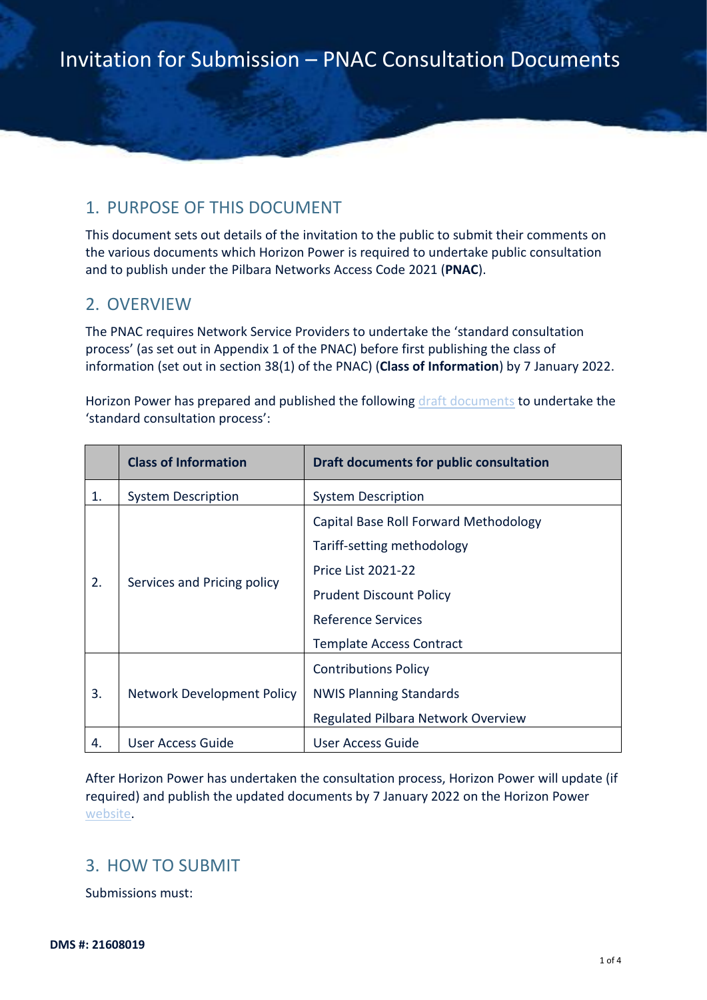### 1. PURPOSE OF THIS DOCUMENT

This document sets out details of the invitation to the public to submit their comments on the various documents which Horizon Power is required to undertake public consultation and to publish under the Pilbara Networks Access Code 2021 (**PNAC**).

#### 2. OVERVIEW

The PNAC requires Network Service Providers to undertake the 'standard consultation process' (as set out in Appendix 1 of the PNAC) before first publishing the class of information (set out in section 38(1) of the PNAC) (**Class of Information**) by 7 January 2022.

Horizon Power has prepared and published the following [draft documents](https://nwis.com.au/access/) to undertake the 'standard consultation process':

|    | <b>Class of Information</b> | <b>Draft documents for public consultation</b> |
|----|-----------------------------|------------------------------------------------|
| 1. | <b>System Description</b>   | <b>System Description</b>                      |
| 2. | Services and Pricing policy | Capital Base Roll Forward Methodology          |
|    |                             | Tariff-setting methodology                     |
|    |                             | <b>Price List 2021-22</b>                      |
|    |                             | <b>Prudent Discount Policy</b>                 |
|    |                             | Reference Services                             |
|    |                             | <b>Template Access Contract</b>                |
| 3. | Network Development Policy  | <b>Contributions Policy</b>                    |
|    |                             | <b>NWIS Planning Standards</b>                 |
|    |                             | Regulated Pilbara Network Overview             |
| 4. | User Access Guide           | User Access Guide                              |

After Horizon Power has undertaken the consultation process, Horizon Power will update (if required) and publish the updated documents by 7 January 2022 on the Horizon Power [website.](https://nwis.com.au/access/)

#### 3. HOW TO SUBMIT

Submissions must: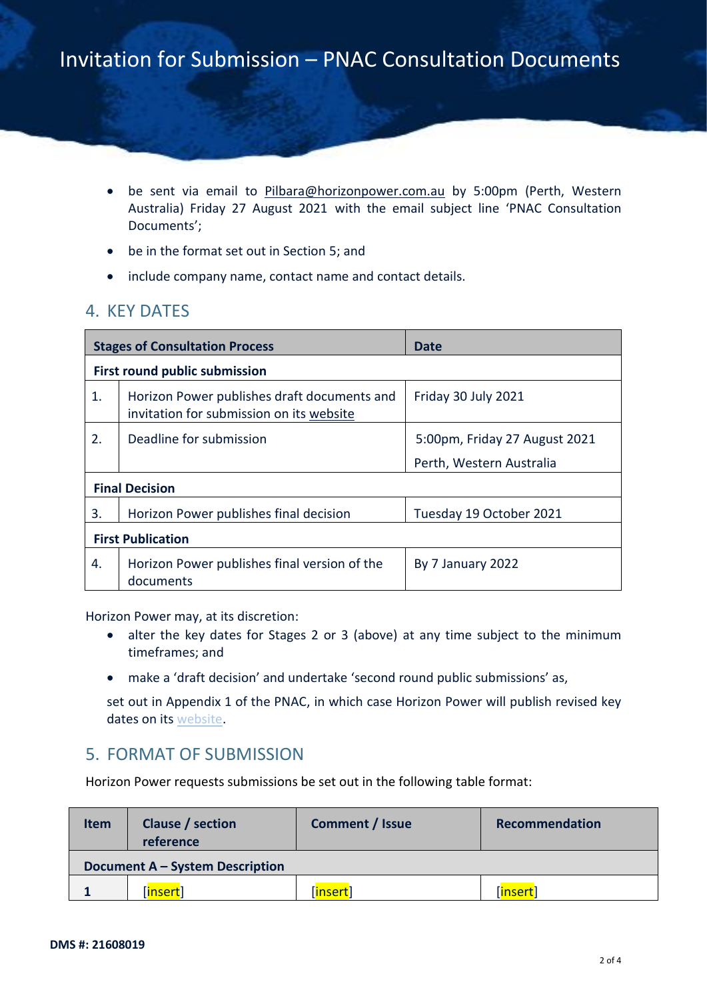- be sent via email to [Pilbara@horizonpower.com.au](mailto:Pilbara@horizonpower.com.au) by 5:00pm (Perth, Western Australia) Friday 27 August 2021 with the email subject line 'PNAC Consultation Documents';
- be in the format set out in Section [5;](#page-1-0) and
- include company name, contact name and contact details.

### 4. KEY DATES

| <b>Stages of Consultation Process</b> |                                                                                         | Date                          |  |  |
|---------------------------------------|-----------------------------------------------------------------------------------------|-------------------------------|--|--|
| <b>First round public submission</b>  |                                                                                         |                               |  |  |
| 1.                                    | Horizon Power publishes draft documents and<br>invitation for submission on its website | Friday 30 July 2021           |  |  |
| 2.                                    | Deadline for submission                                                                 | 5:00pm, Friday 27 August 2021 |  |  |
|                                       |                                                                                         | Perth, Western Australia      |  |  |
| <b>Final Decision</b>                 |                                                                                         |                               |  |  |
| 3.                                    | Horizon Power publishes final decision                                                  | Tuesday 19 October 2021       |  |  |
| <b>First Publication</b>              |                                                                                         |                               |  |  |
| 4.                                    | Horizon Power publishes final version of the<br>documents                               | By 7 January 2022             |  |  |

Horizon Power may, at its discretion:

- alter the key dates for Stages 2 or 3 (above) at any time subject to the minimum timeframes; and
- make a 'draft decision' and undertake 'second round public submissions' as,

set out in Appendix 1 of the PNAC, in which case Horizon Power will publish revised key dates on its [website.](https://nwis.com.au/access/)

### <span id="page-1-0"></span>5. FORMAT OF SUBMISSION

Horizon Power requests submissions be set out in the following table format:

| <b>Item</b>                     | Clause / section<br>reference | Comment / Issue | Recommendation |  |  |
|---------------------------------|-------------------------------|-----------------|----------------|--|--|
| Document A – System Description |                               |                 |                |  |  |
|                                 | insert                        | <u> insert</u>  | insert         |  |  |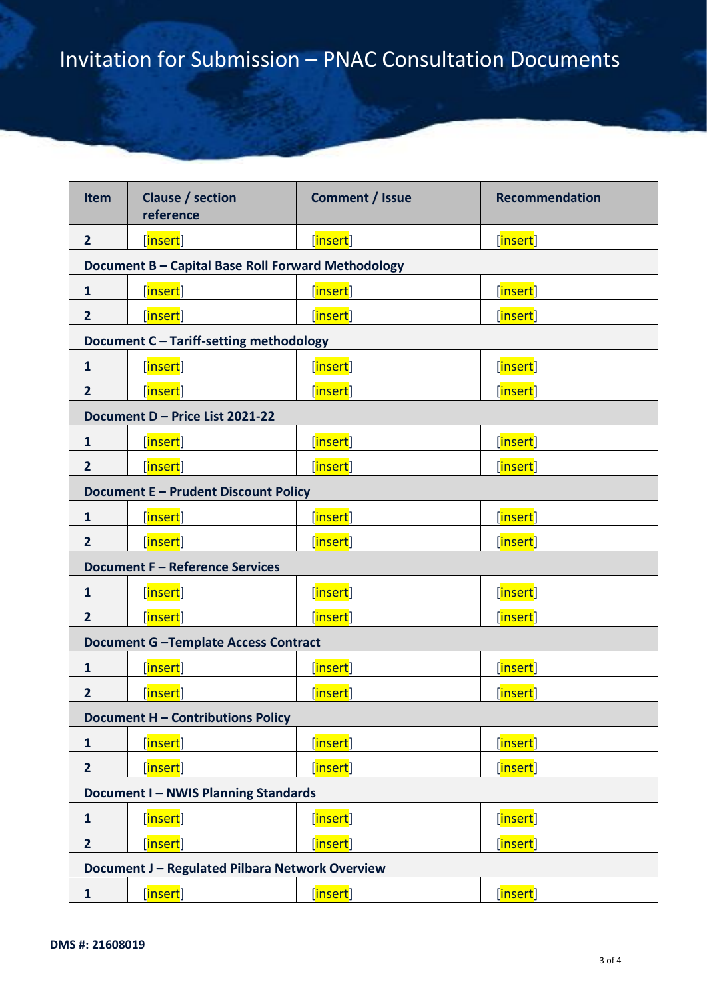| <b>Item</b>                                     | Clause / section<br>reference                      | <b>Comment / Issue</b>  | <b>Recommendation</b>   |  |  |
|-------------------------------------------------|----------------------------------------------------|-------------------------|-------------------------|--|--|
| $\overline{2}$                                  | [insert]                                           | [ <mark>insert</mark> ] | [insert]                |  |  |
|                                                 | Document B - Capital Base Roll Forward Methodology |                         |                         |  |  |
| $\mathbf{1}$                                    | [insert]                                           | [insert]                | [insert]                |  |  |
| $\overline{2}$                                  | [insert]                                           | [insert]                | [insert]                |  |  |
|                                                 | Document C - Tariff-setting methodology            |                         |                         |  |  |
| $\mathbf{1}$                                    | [insert]                                           | [insert]                | [insert]                |  |  |
| $\overline{2}$                                  | [insert]                                           | [insert]                | [insert]                |  |  |
|                                                 | Document D - Price List 2021-22                    |                         |                         |  |  |
| $\mathbf{1}$                                    | [ <mark>insert</mark> ]                            | [ <mark>insert</mark> ] | [insert]                |  |  |
| $\overline{2}$                                  | [insert]                                           | [insert]                | [insert]                |  |  |
|                                                 | <b>Document E - Prudent Discount Policy</b>        |                         |                         |  |  |
| $\mathbf{1}$                                    | [insert]                                           | [insert]                | [insert]                |  |  |
| $\overline{2}$                                  | [insert]                                           | [insert]                | [insert]                |  |  |
|                                                 | <b>Document F - Reference Services</b>             |                         |                         |  |  |
| $\mathbf{1}$                                    | [insert]                                           | [ <mark>insert</mark> ] | [insert]                |  |  |
| $\overline{2}$                                  | [insert]                                           | [insert]                | [insert]                |  |  |
|                                                 | <b>Document G-Template Access Contract</b>         |                         |                         |  |  |
| $\mathbf{1}$                                    | [ <mark>insert</mark> ]                            | [ <mark>insert</mark> ] | [insert]                |  |  |
| $\overline{2}$                                  | [insert]                                           | [insert]                | [insert]                |  |  |
| Document H - Contributions Policy               |                                                    |                         |                         |  |  |
| $\mathbf{1}$                                    | [insert]                                           | [ <mark>insert</mark> ] | [insert]                |  |  |
| $\overline{2}$                                  | [insert]                                           | [ <mark>insert</mark> ] | [insert]                |  |  |
| <b>Document I-NWIS Planning Standards</b>       |                                                    |                         |                         |  |  |
| $\mathbf{1}$                                    | [insert]                                           | [insert]                | [insert]                |  |  |
| $\overline{2}$                                  | [insert]                                           | [insert]                | [insert]                |  |  |
| Document J - Regulated Pilbara Network Overview |                                                    |                         |                         |  |  |
| $\mathbf{1}$                                    | [insert]                                           | [insert]                | [ <mark>insert</mark> ] |  |  |